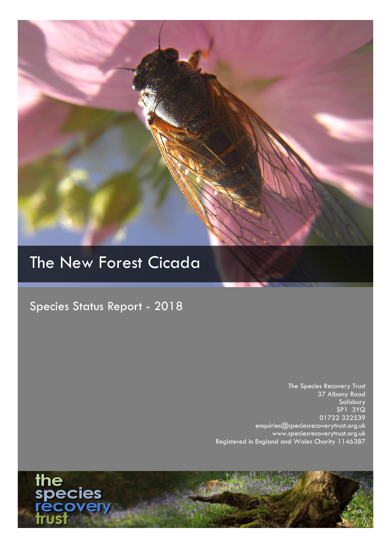

# The New Forest Cicada

Species Status Report - 2018

The Species Recovery Trust 37 Albany Road Salisbury SP1 3YQ 01722 322539 enquiries@speciesrecoverytrust.org.uk www.speciesrecoverytrust.org.uk Registered in England and Wales Charity 1146387

the<br>species<br>recover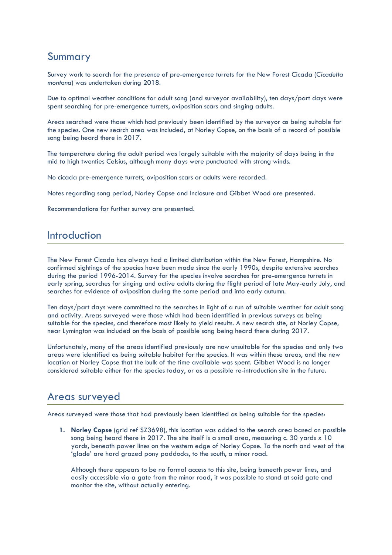# Summary

Survey work to search for the presence of pre-emergence turrets for the New Forest Cicada (*Cicadetta montana*) was undertaken during 2018.

Due to optimal weather conditions for adult song (and surveyor availability), ten days/part days were spent searching for pre-emergence turrets, oviposition scars and singing adults.

Areas searched were those which had previously been identified by the surveyor as being suitable for the species. One new search area was included, at Norley Copse, on the basis of a record of possible song being heard there in 2017.

The temperature during the adult period was largely suitable with the majority of days being in the mid to high twenties Celsius, although many days were punctuated with strong winds.

No cicada pre-emergence turrets, oviposition scars or adults were recorded.

Notes regarding song period, Norley Copse and Inclosure and Gibbet Wood are presented.

Recommendations for further survey are presented.

### Introduction

The New Forest Cicada has always had a limited distribution within the New Forest, Hampshire. No confirmed sightings of the species have been made since the early 1990s, despite extensive searches during the period 1996-2014. Survey for the species involve searches for pre-emergence turrets in early spring, searches for singing and active adults during the flight period of late May-early July, and searches for evidence of oviposition during the same period and into early autumn.

Ten days/part days were committed to the searches in light of a run of suitable weather for adult song and activity. Areas surveyed were those which had been identified in previous surveys as being suitable for the species, and therefore most likely to yield results. A new search site, at Norley Copse, near Lymington was included on the basis of possible song being heard there during 2017.

Unfortunately, many of the areas identified previously are now unsuitable for the species and only two areas were identified as being suitable habitat for the species. It was within these areas, and the new location at Norley Copse that the bulk of the time available was spent. Gibbet Wood is no longer considered suitable either for the species today, or as a possible re-introduction site in the future.

## Areas surveyed

Areas surveyed were those that had previously been identified as being suitable for the species:

**1. Norley Copse** (grid ref SZ3698), this location was added to the search area based on possible song being heard there in 2017. The site itself is a small area, measuring c. 30 yards x 10 yards, beneath power lines on the western edge of Norley Copse. To the north and west of the 'glade' are hard grazed pony paddocks, to the south, a minor road.

Although there appears to be no formal access to this site, being beneath power lines, and easily accessible via a gate from the minor road, it was possible to stand at said gate and monitor the site, without actually entering.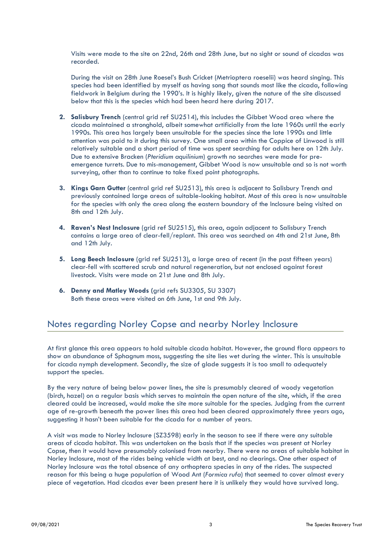Visits were made to the site on 22nd, 26th and 28th June, but no sight or sound of cicadas was recorded.

During the visit on 28th June Roesel's Bush Cricket (Metrioptera roeselii) was heard singing. This species had been identified by myself as having song that sounds most like the cicada, following fieldwork in Belgium during the 1990's. It is highly likely, given the nature of the site discussed below that this is the species which had been heard here during 2017.

- **2. Salisbury Trench** (central grid ref SU2514), this includes the Gibbet Wood area where the cicada maintained a stronghold, albeit somewhat artificially from the late 1960s until the early 1990s. This area has largely been unsuitable for the species since the late 1990s and little attention was paid to it during this survey. One small area within the Coppice of Linwood is still relatively suitable and a short period of time was spent searching for adults here on 12th July. Due to extensive Bracken (*Pteridium aquilinium*) growth no searches were made for preemergence turrets. Due to mis-management, Gibbet Wood is now unsuitable and so is not worth surveying, other than to continue to take fixed point photographs.
- **3. Kings Garn Gutter** (central grid ref SU2513), this area is adjacent to Salisbury Trench and previously contained large areas of suitable-looking habitat. Most of this area is now unsuitable for the species with only the area along the eastern boundary of the Inclosure being visited on 8th and 12th July.
- **4. Raven's Nest Inclosure** (grid ref SU2515), this area, again adjacent to Salisbury Trench contains a large area of clear-fell/replant. This area was searched on 4th and 21st June, 8th and 12th July.
- **5. Long Beech Inclosure** (grid ref SU2513), a large area of recent (in the past fifteen years) clear-fell with scattered scrub and natural regeneration, but not enclosed against forest livestock. Visits were made on 21st June and 8th July.
- **6. Denny and Matley Woods (**grid refs SU3305, SU 3307) Both these areas were visited on 6th June, 1st and 9th July.

#### Notes regarding Norley Copse and nearby Norley Inclosure

At first glance this area appears to hold suitable cicada habitat. However, the ground flora appears to show an abundance of Sphagnum moss, suggesting the site lies wet during the winter. This is unsuitable for cicada nymph development. Secondly, the size of glade suggests it is too small to adequately support the species.

By the very nature of being below power lines, the site is presumably cleared of woody vegetation (birch, hazel) on a regular basis which serves to maintain the open nature of the site, which, if the area cleared could be increased, would make the site more suitable for the species. Judging from the current age of re-growth beneath the power lines this area had been cleared approximately three years ago, suggesting it hasn't been suitable for the cicada for a number of years.

A visit was made to Norley Inclosure (SZ3598) early in the season to see if there were any suitable areas of cicada habitat. This was undertaken on the basis that if the species was present at Norley Copse, then it would have presumably colonised from nearby. There were no areas of suitable habitat in Norley Inclosure, most of the rides being vehicle width at best, and no clearings. One other aspect of Norley Inclosure was the total absence of any orthoptera species in any of the rides. The suspected reason for this being a huge population of Wood Ant (*Formica rufa*) that seemed to cover almost every piece of vegetation. Had cicadas ever been present here it is unlikely they would have survived long.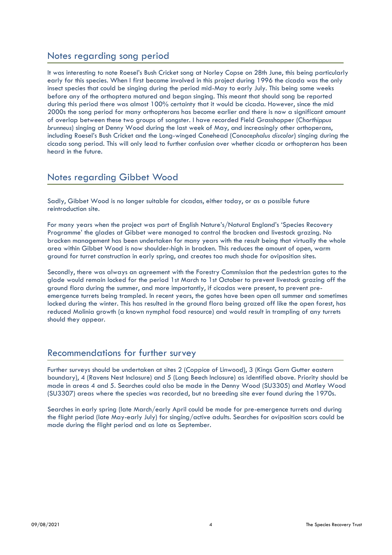#### Notes regarding song period

It was interesting to note Roesel's Bush Cricket song at Norley Copse on 28th June, this being particularly early for this species. When I first became involved in this project during 1996 the cicada was the only insect species that could be singing during the period mid-May to early July. This being some weeks before any of the orthoptera matured and began singing. This meant that should song be reported during this period there was almost 100% certainty that it would be cicada. However, since the mid 2000s the song period for many orthopterans has become earlier and there is now a significant amount of overlap between these two groups of songster. I have recorded Field Grasshopper (*Chorthippus brunneus*) singing at Denny Wood during the last week of May, and increasingly other orthoperans, including Roesel's Bush Cricket and the Long-winged Conehead (*Conocephalus discolor*) singing during the cicada song period. This will only lead to further confusion over whether cicada or orthopteran has been heard in the future.

#### Notes regarding Gibbet Wood

Sadly, Gibbet Wood is no longer suitable for cicadas, either today, or as a possible future reintroduction site.

For many years when the project was part of English Nature's/Natural England's 'Species Recovery Programme' the glades at Gibbet were managed to control the bracken and livestock grazing. No bracken management has been undertaken for many years with the result being that virtually the whole area within Gibbet Wood is now shoulder-high in bracken. This reduces the amount of open, warm ground for turret construction in early spring, and creates too much shade for oviposition sites.

Secondly, there was always an agreement with the Forestry Commission that the pedestrian gates to the glade would remain locked for the period 1st March to 1st October to prevent livestock grazing off the ground flora during the summer, and more importantly, if cicadas were present, to prevent preemergence turrets being trampled. In recent years, the gates have been open all summer and sometimes locked during the winter. This has resulted in the ground flora being grazed off like the open forest, has reduced Molinia growth (a known nymphal food resource) and would result in trampling of any turrets should they appear.

## Recommendations for further survey

Further surveys should be undertaken at sites 2 (Coppice of Linwood), 3 (Kings Garn Gutter eastern boundary), 4 (Ravens Nest Inclosure) and 5 (Long Beech Inclosure) as identified above. Priority should be made in areas 4 and 5. Searches could also be made in the Denny Wood (SU3305) and Matley Wood (SU3307) areas where the species was recorded, but no breeding site ever found during the 1970s.

Searches in early spring (late March/early April could be made for pre-emergence turrets and during the flight period (late May-early July) for singing/active adults. Searches for oviposition scars could be made during the flight period and as late as September.